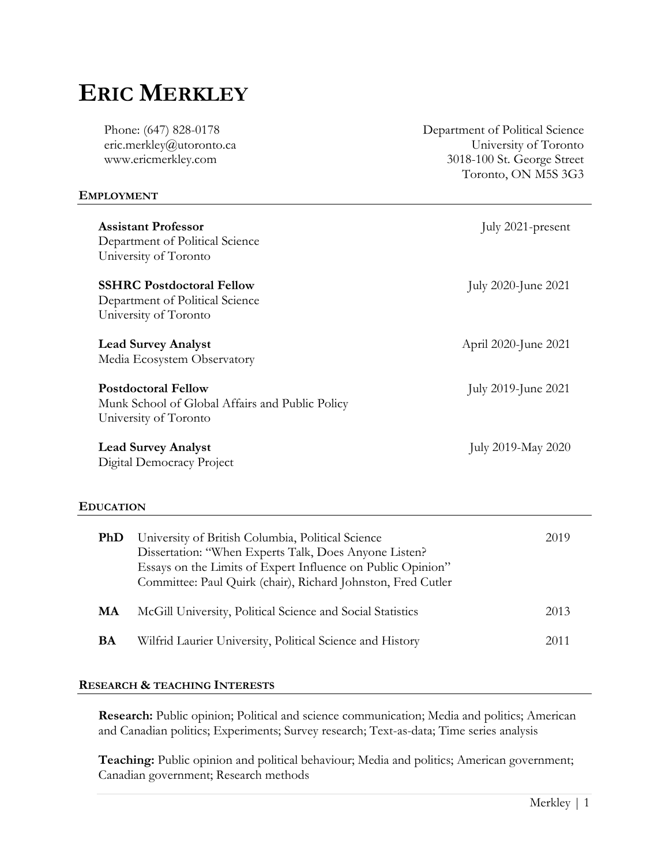# **ERIC MERKLEY**

Phone: (647) 828-0178 eric.merkley@utoronto.ca www.ericmerkley.com

## **EMPLOYMENT**

**Assistant Professor** July 2021-present Department of Political Science University of Toronto **SSHRC Postdoctoral Fellow** July 2020-June 2021 Department of Political Science University of Toronto **Lead Survey Analyst April 2020-June 2021** Media Ecosystem Observatory **Postdoctoral Fellow** July 2019-June 2021 Munk School of Global Affairs and Public Policy University of Toronto **Lead Survey Analyst** July 2019-May 2020 Digital Democracy Project

### **EDUCATION**

| PhD | University of British Columbia, Political Science<br>Dissertation: "When Experts Talk, Does Anyone Listen?<br>Essays on the Limits of Expert Influence on Public Opinion"<br>Committee: Paul Quirk (chair), Richard Johnston, Fred Cutler | 2019 |
|-----|-------------------------------------------------------------------------------------------------------------------------------------------------------------------------------------------------------------------------------------------|------|
| MA  | McGill University, Political Science and Social Statistics                                                                                                                                                                                | 2013 |
| BA  | Wilfrid Laurier University, Political Science and History                                                                                                                                                                                 | 2011 |

# **RESEARCH & TEACHING INTERESTS**

**Research:** Public opinion; Political and science communication; Media and politics; American and Canadian politics; Experiments; Survey research; Text-as-data; Time series analysis

**Teaching:** Public opinion and political behaviour; Media and politics; American government; Canadian government; Research methods

Department of Political Science University of Toronto 3018-100 St. George Street Toronto, ON M5S 3G3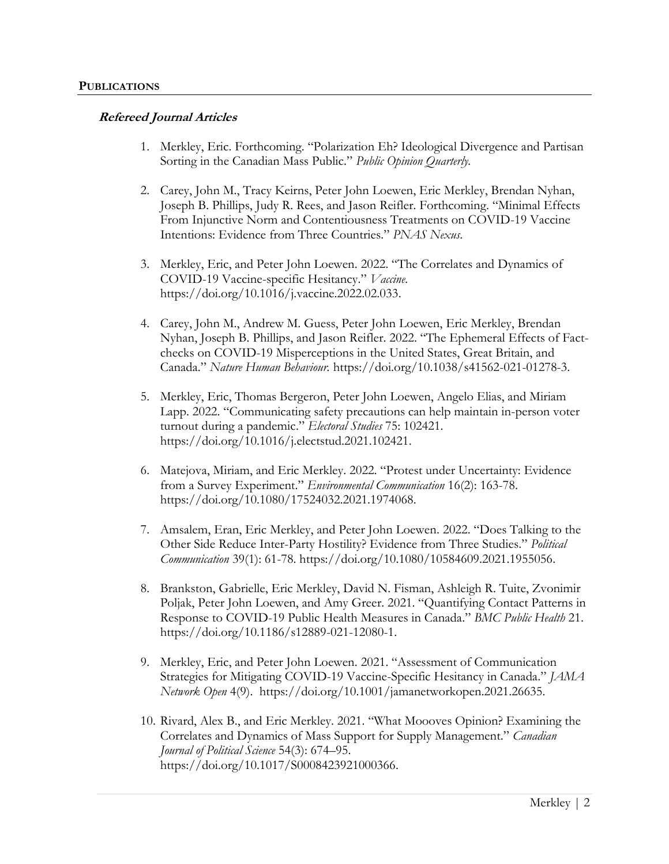## **Refereed Journal Articles**

- 1. Merkley, Eric. Forthcoming. "Polarization Eh? Ideological Divergence and Partisan Sorting in the Canadian Mass Public." *Public Opinion Quarterly.*
- 2. Carey, John M., Tracy Keirns, Peter John Loewen, Eric Merkley, Brendan Nyhan, Joseph B. Phillips, Judy R. Rees, and Jason Reifler. Forthcoming. "Minimal Effects From Injunctive Norm and Contentiousness Treatments on COVID-19 Vaccine Intentions: Evidence from Three Countries." *PNAS Nexus*.
- 3. Merkley, Eric, and Peter John Loewen. 2022. "The Correlates and Dynamics of COVID-19 Vaccine-specific Hesitancy." *Vaccine.* [https://doi.org/10.1016/j.vaccine.2022.02.033.](https://doi.org/10.1016/j.vaccine.2022.02.033)
- 4. Carey, John M., Andrew M. Guess, Peter John Loewen, Eric Merkley, Brendan Nyhan, Joseph B. Phillips, and Jason Reifler. 2022. "The Ephemeral Effects of Factchecks on COVID-19 Misperceptions in the United States, Great Britain, and Canada." *Nature Human Behaviour.* [https://doi.org/10.1038/s41562-021-01278-3.](https://doi.org/10.1038/s41562-021-01278-3)
- 5. Merkley, Eric, Thomas Bergeron, Peter John Loewen, Angelo Elias, and Miriam Lapp. 2022. "Communicating safety precautions can help maintain in-person voter turnout during a pandemic." *Electoral Studies* 75: 102421. [https://doi.org/10.1016/j.electstud.2021.102421.](https://doi.org/10.1016/j.electstud.2021.102421)
- 6. Matejova, Miriam, and Eric Merkley. 2022. "Protest under Uncertainty: Evidence from a Survey Experiment." *Environmental Communication* 16(2): 163-78. [https://doi.org/10.1080/17524032.2021.1974068.](https://doi.org/10.1080/17524032.2021.1974068)
- 7. Amsalem, Eran, Eric Merkley, and Peter John Loewen. 2022. "Does Talking to the Other Side Reduce Inter-Party Hostility? Evidence from Three Studies." *Political Communication* 39(1): 61-78. [https://doi.org/10.1080/10584609.2021.1955056.](https://doi.org/10.1080/10584609.2021.1955056)
- 8. Brankston, Gabrielle, Eric Merkley, David N. Fisman, Ashleigh R. Tuite, Zvonimir Poljak, Peter John Loewen, and Amy Greer. 2021. "Quantifying Contact Patterns in Response to COVID-19 Public Health Measures in Canada." *BMC Public Health* 21. [https://doi.org/10.1186/s12889-021-12080-1.](https://doi.org/10.1186/s12889-021-12080-1)
- 9. Merkley, Eric, and Peter John Loewen. 2021. "Assessment of Communication Strategies for Mitigating COVID-19 Vaccine-Specific Hesitancy in Canada." *JAMA Network Open* 4(9). [https://doi.org/10.1001/jamanetworkopen.2021.26635.](https://doi.org/10.1001/jamanetworkopen.2021.26635)
- 10. Rivard, Alex B., and Eric Merkley. 2021. "What Moooves Opinion? Examining the Correlates and Dynamics of Mass Support for Supply Management." *Canadian Journal of Political Science* 54(3): 674–95. [https://doi.org/10.1017/S0008423921000366.](https://doi.org/10.1017/S0008423921000366)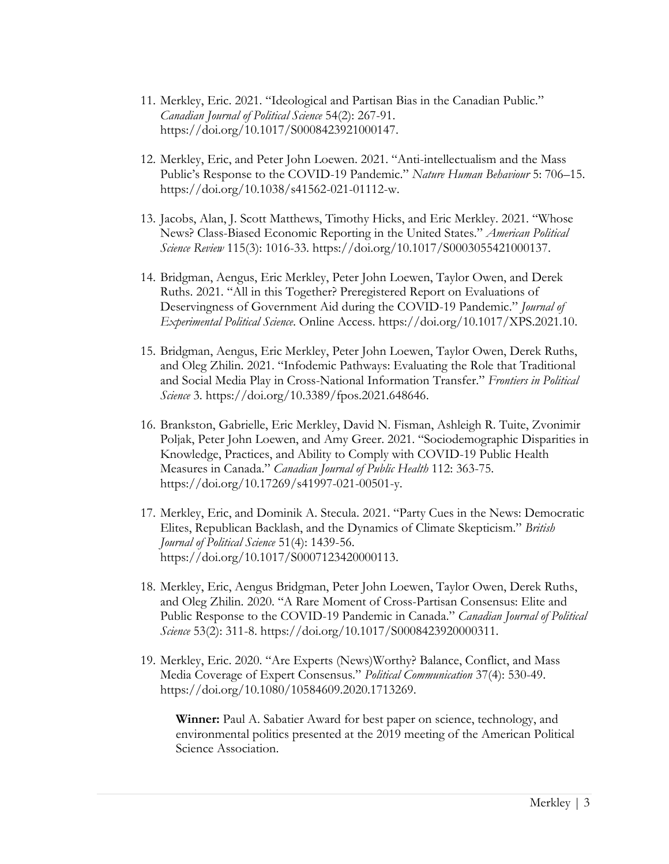- 11. Merkley, Eric. 2021. "Ideological and Partisan Bias in the Canadian Public." *Canadian Journal of Political Science* 54(2): 267-91. [https://doi.org/10.1017/S0008423921000147.](https://doi.org/10.1017/S0008423921000147)
- 12. Merkley, Eric, and Peter John Loewen. 2021. "Anti-intellectualism and the Mass Public's Response to the COVID-19 Pandemic." *Nature Human Behaviour* 5: 706–15. [https://doi.org/10.1038/s41562-021-01112-w.](https://doi.org/10.1038/s41562-021-01112-w)
- 13. Jacobs, Alan, J. Scott Matthews, Timothy Hicks, and Eric Merkley. 2021. "Whose News? Class-Biased Economic Reporting in the United States." *American Political Science Review* 115(3): 1016-33. [https://doi.org/10.1017/S0003055421000137.](https://doi.org/10.1017/S0003055421000137)
- 14. Bridgman, Aengus, Eric Merkley, Peter John Loewen, Taylor Owen, and Derek Ruths. 2021. "All in this Together? Preregistered Report on Evaluations of Deservingness of Government Aid during the COVID-19 Pandemic." *Journal of Experimental Political Science*. Online Access. [https://doi.org/10.1017/XPS.2021.10.](https://doi.org/10.1017/XPS.2021.10)
- 15. Bridgman, Aengus, Eric Merkley, Peter John Loewen, Taylor Owen, Derek Ruths, and Oleg Zhilin. 2021. "Infodemic Pathways: Evaluating the Role that Traditional and Social Media Play in Cross-National Information Transfer." *Frontiers in Political Science* 3. [https://doi.org/10.3389/fpos.2021.648646.](https://doi.org/10.3389/fpos.2021.648646)
- 16. Brankston, Gabrielle, Eric Merkley, David N. Fisman, Ashleigh R. Tuite, Zvonimir Poljak, Peter John Loewen, and Amy Greer. 2021. "Sociodemographic Disparities in Knowledge, Practices, and Ability to Comply with COVID-19 Public Health Measures in Canada." *Canadian Journal of Public Health* 112: 363-75. [https://doi.org/10.17269/s41997-021-00501-y.](https://doi.org/10.17269/s41997-021-00501-y)
- 17. Merkley, Eric, and Dominik A. Stecula. 2021. "Party Cues in the News: Democratic Elites, Republican Backlash, and the Dynamics of Climate Skepticism." *British Journal of Political Science* 51(4): 1439-56. [https://doi.org/10.1017/S0007123420000113.](https://doi.org/10.1017/S0007123420000113)
- 18. Merkley, Eric, Aengus Bridgman, Peter John Loewen, Taylor Owen, Derek Ruths, and Oleg Zhilin. 2020. "A Rare Moment of Cross-Partisan Consensus: Elite and Public Response to the COVID-19 Pandemic in Canada." *Canadian Journal of Political Science* 53(2): 311-8. [https://doi.org/10.1017/S0008423920000311.](https://doi.org/10.1017/S0008423920000311)
- 19. Merkley, Eric. 2020. "Are Experts (News)Worthy? Balance, Conflict, and Mass Media Coverage of Expert Consensus." *Political Communication* 37(4): 530-49. [https://doi.org/10.1080/10584609.2020.1713269.](https://doi.org/10.1080/10584609.2020.1713269)

**Winner:** Paul A. Sabatier Award for best paper on science, technology, and environmental politics presented at the 2019 meeting of the American Political Science Association.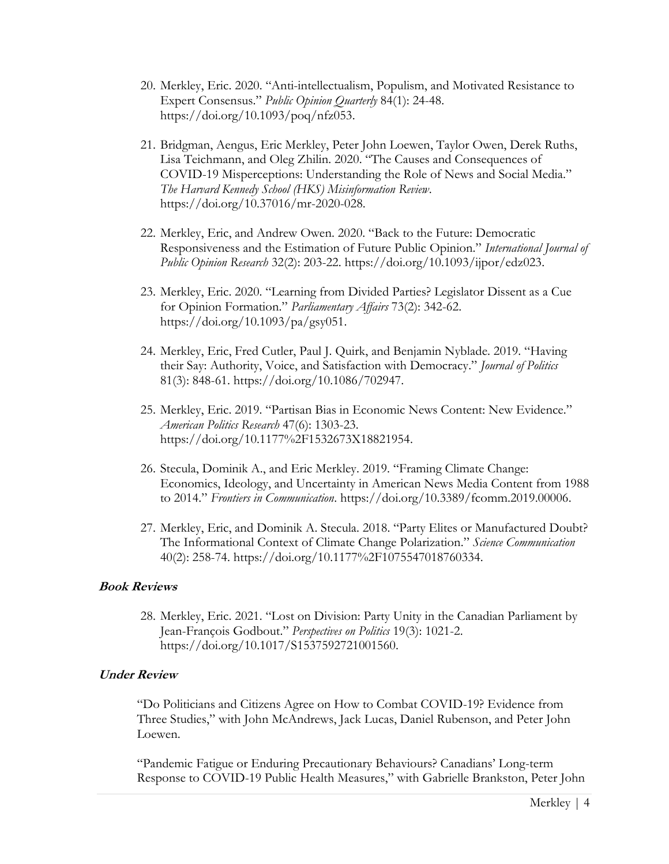- 20. Merkley, Eric. 2020. "Anti-intellectualism, Populism, and Motivated Resistance to Expert Consensus." *Public Opinion Quarterly* 84(1): 24-48. [https://doi.org/10.1093/poq/nfz053.](https://doi.org/10.1093/poq/nfz053)
- 21. Bridgman, Aengus, Eric Merkley, Peter John Loewen, Taylor Owen, Derek Ruths, Lisa Teichmann, and Oleg Zhilin. 2020. "The Causes and Consequences of COVID-19 Misperceptions: Understanding the Role of News and Social Media." *The Harvard Kennedy School (HKS) Misinformation Review*. [https://doi.org/10.37016/mr-2020-028.](https://doi.org/10.37016/mr-2020-028)
- 22. Merkley, Eric, and Andrew Owen. 2020. "Back to the Future: Democratic Responsiveness and the Estimation of Future Public Opinion." *International Journal of Public Opinion Research* 32(2): 203-22. [https://doi.org/10.1093/ijpor/edz023.](https://doi.org/10.1093/ijpor/edz023)
- 23. Merkley, Eric. 2020. "Learning from Divided Parties? Legislator Dissent as a Cue for Opinion Formation." *Parliamentary Affairs* 73(2): 342-62. [https://doi.org/10.1093/pa/gsy051.](https://doi.org/10.1093/pa/gsy051)
- 24. Merkley, Eric, Fred Cutler, Paul J. Quirk, and Benjamin Nyblade. 2019. "Having their Say: Authority, Voice, and Satisfaction with Democracy." *Journal of Politics* 81(3): 848-61. [https://doi.org/10.1086/702947.](https://doi.org/10.1086/702947)
- 25. Merkley, Eric. 2019. "Partisan Bias in Economic News Content: New Evidence." *American Politics Research* 47(6): 1303-23. [https://doi.org/10.1177%2F1532673X18821954.](https://doi.org/10.1177%2F1532673X18821954)
- 26. Stecula, Dominik A., and Eric Merkley. 2019. "Framing Climate Change: Economics, Ideology, and Uncertainty in American News Media Content from 1988 to 2014." *Frontiers in Communication*. [https://doi.org/10.3389/fcomm.2019.00006.](https://doi.org/10.3389/fcomm.2019.00006)
- 27. Merkley, Eric, and Dominik A. Stecula. 2018. "Party Elites or Manufactured Doubt? The Informational Context of Climate Change Polarization." *Science Communication* 40(2): 258-74. [https://doi.org/10.1177%2F1075547018760334.](https://doi.org/10.1177%2F1075547018760334)

# **Book Reviews**

28. Merkley, Eric. 2021. "Lost on Division: Party Unity in the Canadian Parliament by Jean-François Godbout." *Perspectives on Politics* 19(3): 1021-2. [https://doi.org/10.1017/S1537592721001560.](https://doi.org/10.1017/S1537592721001560)

# **Under Review**

"Do Politicians and Citizens Agree on How to Combat COVID-19? Evidence from Three Studies," with John McAndrews, Jack Lucas, Daniel Rubenson, and Peter John Loewen.

"Pandemic Fatigue or Enduring Precautionary Behaviours? Canadians' Long-term Response to COVID-19 Public Health Measures," with Gabrielle Brankston, Peter John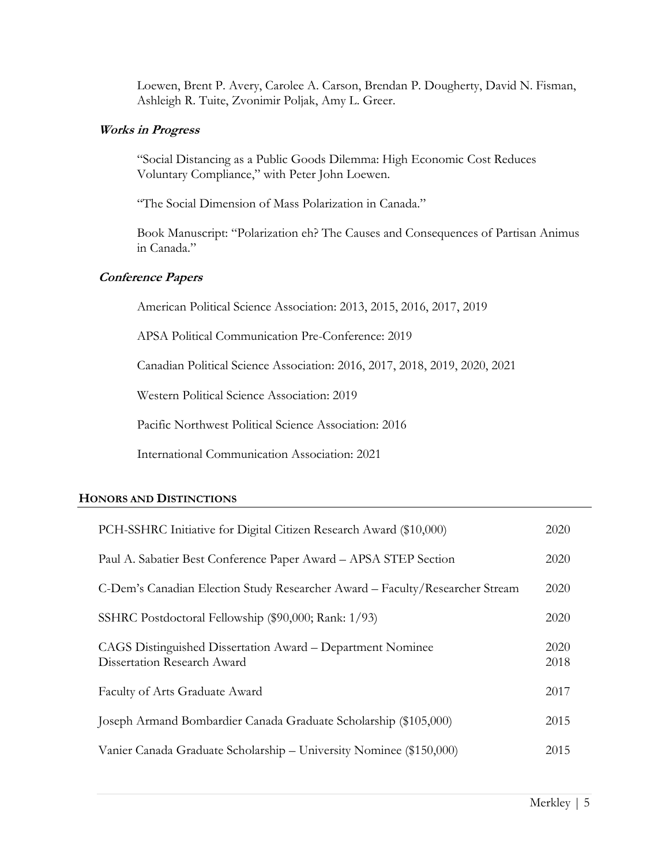Loewen, Brent P. Avery, Carolee A. Carson, Brendan P. Dougherty, David N. Fisman, Ashleigh R. Tuite, Zvonimir Poljak, Amy L. Greer.

# **Works in Progress**

"Social Distancing as a Public Goods Dilemma: High Economic Cost Reduces Voluntary Compliance," with Peter John Loewen.

"The Social Dimension of Mass Polarization in Canada."

Book Manuscript: "Polarization eh? The Causes and Consequences of Partisan Animus in Canada."

# **Conference Papers**

American Political Science Association: 2013, 2015, 2016, 2017, 2019

APSA Political Communication Pre-Conference: 2019

Canadian Political Science Association: 2016, 2017, 2018, 2019, 2020, 2021

Western Political Science Association: 2019

Pacific Northwest Political Science Association: 2016

International Communication Association: 2021

# **HONORS AND DISTINCTIONS**

| PCH-SSHRC Initiative for Digital Citizen Research Award (\$10,000)                        | 2020         |
|-------------------------------------------------------------------------------------------|--------------|
| Paul A. Sabatier Best Conference Paper Award - APSA STEP Section                          | 2020         |
| C-Dem's Canadian Election Study Researcher Award – Faculty/Researcher Stream              | 2020         |
| SSHRC Postdoctoral Fellowship (\$90,000; Rank: 1/93)                                      | 2020         |
| CAGS Distinguished Dissertation Award – Department Nominee<br>Dissertation Research Award | 2020<br>2018 |
| Faculty of Arts Graduate Award                                                            | 2017         |
| Joseph Armand Bombardier Canada Graduate Scholarship (\$105,000)                          | 2015         |
| Vanier Canada Graduate Scholarship – University Nominee (\$150,000)                       | 2015         |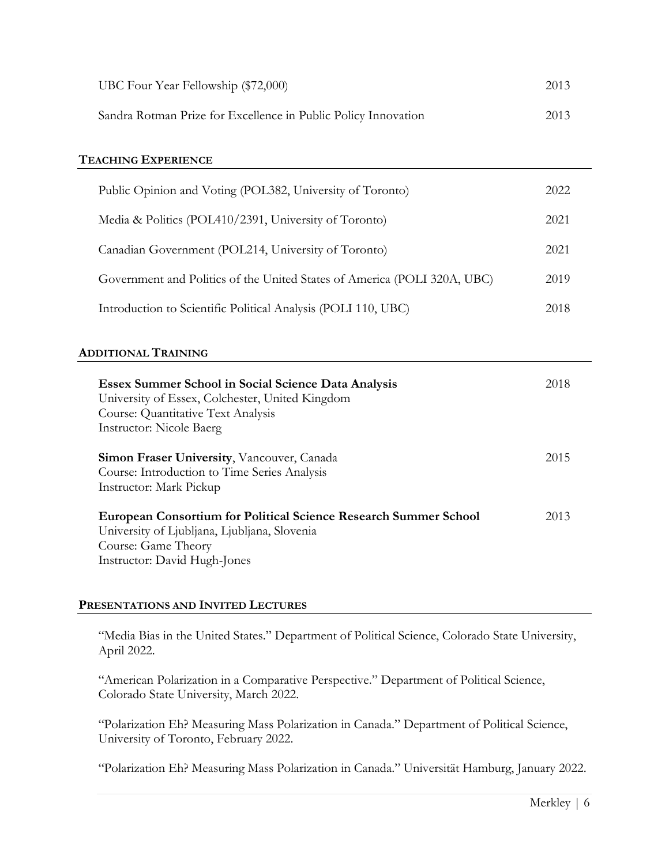| UBC Four Year Fellowship (\$72,000)                            | 2013 |
|----------------------------------------------------------------|------|
| Sandra Rotman Prize for Excellence in Public Policy Innovation | 2013 |

# **TEACHING EXPERIENCE**

| Public Opinion and Voting (POL382, University of Toronto)                |      |
|--------------------------------------------------------------------------|------|
| Media & Politics (POL410/2391, University of Toronto)                    | 2021 |
| Canadian Government (POL214, University of Toronto)                      | 2021 |
| Government and Politics of the United States of America (POLI 320A, UBC) | 2019 |
| Introduction to Scientific Political Analysis (POLI 110, UBC)            | 2018 |

### **ADDITIONAL TRAINING**

| Essex Summer School in Social Science Data Analysis<br>University of Essex, Colchester, United Kingdom<br>Course: Quantitative Text Analysis<br><b>Instructor:</b> Nicole Baerg | 2018 |
|---------------------------------------------------------------------------------------------------------------------------------------------------------------------------------|------|
| <b>Simon Fraser University, Vancouver, Canada</b><br>Course: Introduction to Time Series Analysis<br>Instructor: Mark Pickup                                                    | 2015 |
| <b>European Consortium for Political Science Research Summer School</b><br>University of Ljubljana, Ljubljana, Slovenia<br>Course: Game Theory<br>Instructor: David Hugh-Jones  | 2013 |

### **PRESENTATIONS AND INVITED LECTURES**

"Media Bias in the United States." Department of Political Science, Colorado State University, April 2022.

"American Polarization in a Comparative Perspective." Department of Political Science, Colorado State University, March 2022.

"Polarization Eh? Measuring Mass Polarization in Canada." Department of Political Science, University of Toronto, February 2022.

"Polarization Eh? Measuring Mass Polarization in Canada." Universität Hamburg, January 2022.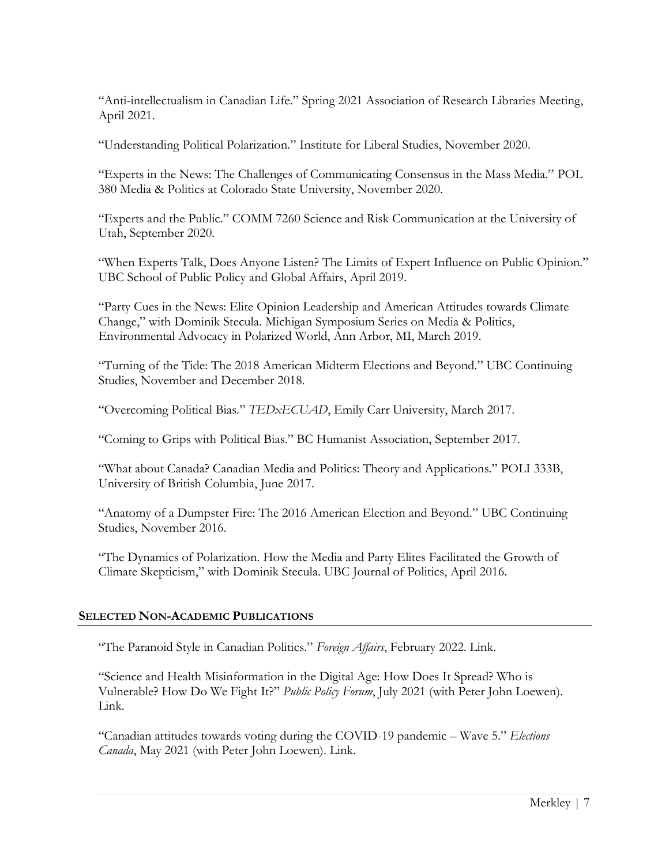"Anti-intellectualism in Canadian Life." Spring 2021 Association of Research Libraries Meeting, April 2021.

"Understanding Political Polarization." Institute for Liberal Studies, November 2020.

"Experts in the News: The Challenges of Communicating Consensus in the Mass Media." POL 380 Media & Politics at Colorado State University, November 2020.

"Experts and the Public." COMM 7260 Science and Risk Communication at the University of Utah, September 2020.

"When Experts Talk, Does Anyone Listen? The Limits of Expert Influence on Public Opinion." UBC School of Public Policy and Global Affairs, April 2019.

"Party Cues in the News: Elite Opinion Leadership and American Attitudes towards Climate Change," with Dominik Stecula. Michigan Symposium Series on Media & Politics, Environmental Advocacy in Polarized World, Ann Arbor, MI, March 2019.

"Turning of the Tide: The 2018 American Midterm Elections and Beyond." UBC Continuing Studies, November and December 2018.

"Overcoming Political Bias." *TEDxECUAD*, Emily Carr University, March 2017.

"Coming to Grips with Political Bias." BC Humanist Association, September 2017.

"What about Canada? Canadian Media and Politics: Theory and Applications." POLI 333B, University of British Columbia, June 2017.

"Anatomy of a Dumpster Fire: The 2016 American Election and Beyond." UBC Continuing Studies, November 2016.

"The Dynamics of Polarization. How the Media and Party Elites Facilitated the Growth of Climate Skepticism," with Dominik Stecula. UBC Journal of Politics, April 2016.

# **SELECTED NON-ACADEMIC PUBLICATIONS**

"The Paranoid Style in Canadian Politics." *Foreign Affairs*, February 2022. [Link.](https://www.foreignaffairs.com/articles/canada/2022-02-16/paranoid-style-canadian-politics)

"Science and Health Misinformation in the Digital Age: How Does It Spread? Who is Vulnerable? How Do We Fight It?" *Public Policy Forum*, July 2021 (with Peter John Loewen). [Link.](https://ppforum.ca/publications/science-and-health-misinformation-in-the-digital-age/)

"Canadian attitudes towards voting during the COVID-19 pandemic – Wave 5." *Elections Canada*, May 2021 (with Peter John Loewen). [Link.](https://www.elections.ca/content.aspx?section=med&dir=cor/cat5&document=index&lang=e)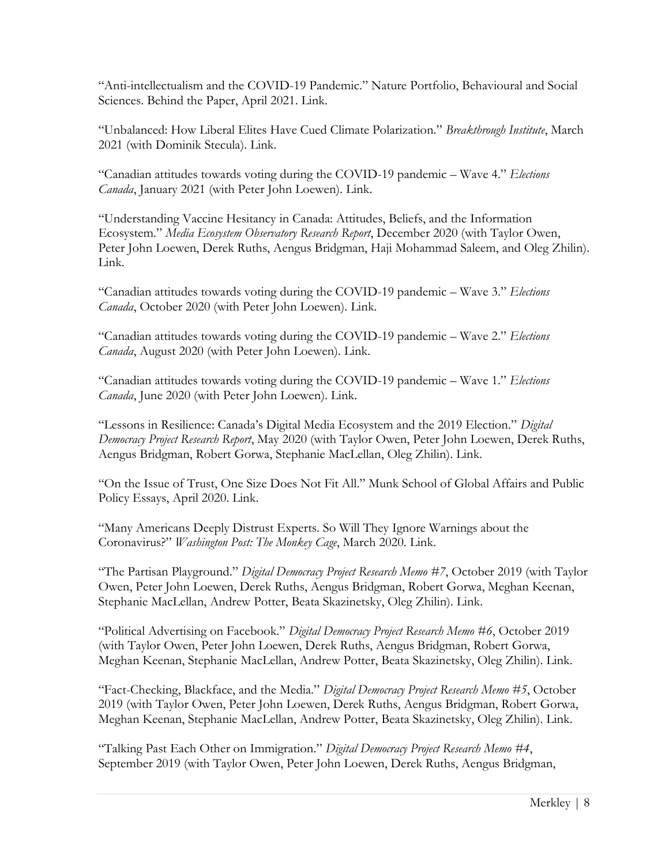"Anti-intellectualism and the COVID-19 Pandemic." Nature Portfolio, Behavioural and Social Sciences. Behind the Paper, April 2021. [Link.](https://socialsciences.nature.com/posts/anti-intellectualism-and-the-covid-19-pandemic)

"Unbalanced: How Liberal Elites Have Cued Climate Polarization." *Breakthrough Institute*, March 2021 (with Dominik Stecula). [Link.](https://thebreakthrough.org/journal/no-13-winter-2021/unbalanced)

"Canadian attitudes towards voting during the COVID-19 pandemic – Wave 4." *Elections Canada*, January 2021 (with Peter John Loewen). [Link.](https://www.elections.ca/content.aspx?section=med&dir=cor/cat4&document=index&lang=e)

"Understanding Vaccine Hesitancy in Canada: Attitudes, Beliefs, and the Information Ecosystem." *Media Ecosystem Observatory Research Report*, December 2020 (with Taylor Owen, Peter John Loewen, Derek Ruths, Aengus Bridgman, Haji Mohammad Saleem, and Oleg Zhilin). [Link.](https://www.mcgill.ca/maxbellschool/files/maxbellschool/meo_vaccine_hesistancy_1.pdf)

"Canadian attitudes towards voting during the COVID-19 pandemic – Wave 3." *Elections Canada*, October 2020 (with Peter John Loewen). [Link.](https://www.elections.ca/content.aspx?section=med&dir=cor/cat3&document=index&lang=e)

"Canadian attitudes towards voting during the COVID-19 pandemic – Wave 2." *Elections Canada*, August 2020 (with Peter John Loewen). [Link.](https://www.elections.ca/content.aspx?section=med&dir=cor/cat2&document=index&lang=e)

"Canadian attitudes towards voting during the COVID-19 pandemic – Wave 1." *Elections Canada*, June 2020 (with Peter John Loewen). [Link.](https://www.elections.ca/content.aspx?section=med&dir=cor/cat&document=index&lang=e)

"Lessons in Resilience: Canada's Digital Media Ecosystem and the 2019 Election." *Digital Democracy Project Research Report*, May 2020 (with Taylor Owen, Peter John Loewen, Derek Ruths, Aengus Bridgman, Robert Gorwa, Stephanie MacLellan, Oleg Zhilin). [Link.](https://ppforum.ca/articles/lessons-in-resilience-canadas-digital-media-ecosystem-and-the-2019-election/)

"On the Issue of Trust, One Size Does Not Fit All." Munk School of Global Affairs and Public Policy Essays, April 2020. [Link.](https://munkschool.exposure.co/on-the-issue-of-trust-one-size-does-not-fit-all)

"[Many Americans Deeply Distrust Experts.](https://ericmerkley.com/2020/03/19/even-with-the-coronavirus-some-americans-deeply-distrust-the-experts-will-they-take-precautions/) So Will They Ignore Warnings about the [Coronavirus?](https://ericmerkley.com/2020/03/19/even-with-the-coronavirus-some-americans-deeply-distrust-the-experts-will-they-take-precautions/)" *Washington Post: The Monkey Cage*, March 2020. [Link.](https://www.washingtonpost.com/politics/2020/03/19/even-with-coronavirus-some-americans-deeply-distrust-experts-will-they-take-precautions/)

"The Partisan Playground." *Digital Democracy Project Research Memo #7*, October 2019 (with Taylor Owen, Peter John Loewen, Derek Ruths, Aengus Bridgman, Robert Gorwa, Meghan Keenan, Stephanie MacLellan, Andrew Potter, Beata Skazinetsky, Oleg Zhilin). [Link.](https://ppforum.ca/articles/ddp-research-memo-7/)

"Political Advertising on Facebook." *Digital Democracy Project Research Memo #6*, October 2019 (with Taylor Owen, Peter John Loewen, Derek Ruths, Aengus Bridgman, Robert Gorwa, Meghan Keenan, Stephanie MacLellan, Andrew Potter, Beata Skazinetsky, Oleg Zhilin). [Link.](https://ppforum.ca/articles/ddp-research-memo-6/)

"Fact-Checking, Blackface, and the Media." *Digital Democracy Project Research Memo #5*, October 2019 (with Taylor Owen, Peter John Loewen, Derek Ruths, Aengus Bridgman, Robert Gorwa, Meghan Keenan, Stephanie MacLellan, Andrew Potter, Beata Skazinetsky, Oleg Zhilin). [Link.](https://ppforum.ca/articles/ddp-research-memo-5/)

"Talking Past Each Other on Immigration." *Digital Democracy Project Research Memo #4*, September 2019 (with Taylor Owen, Peter John Loewen, Derek Ruths, Aengus Bridgman,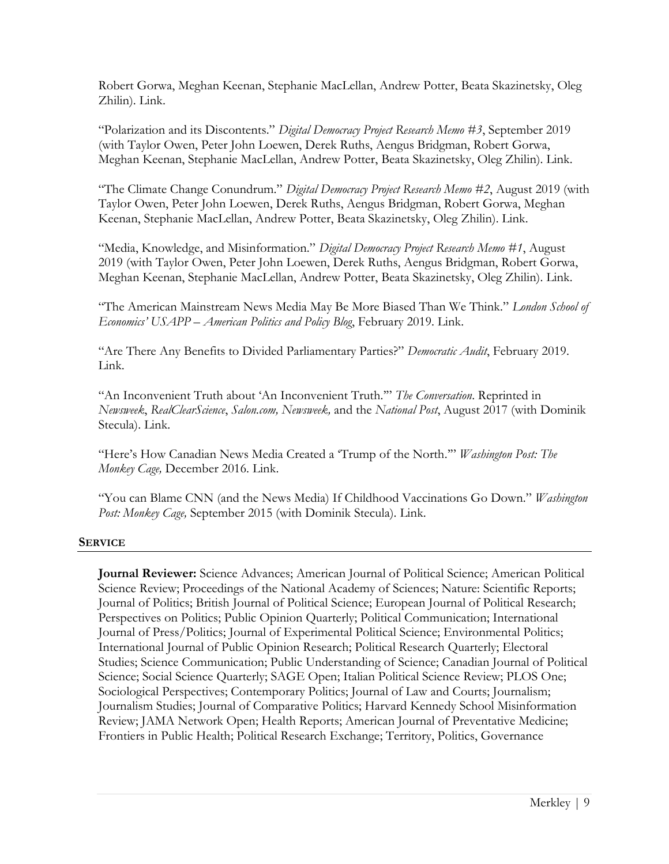Robert Gorwa, Meghan Keenan, Stephanie MacLellan, Andrew Potter, Beata Skazinetsky, Oleg Zhilin). [Link.](https://ppforum.ca/articles/ddp-research-memo-4/)

"Polarization and its Discontents." *Digital Democracy Project Research Memo #3*, September 2019 (with Taylor Owen, Peter John Loewen, Derek Ruths, Aengus Bridgman, Robert Gorwa, Meghan Keenan, Stephanie MacLellan, Andrew Potter, Beata Skazinetsky, Oleg Zhilin). [Link.](https://ppforum.ca/articles/ddp-research-memo-3/)

"The Climate Change Conundrum." *Digital Democracy Project Research Memo #2*, August 2019 (with Taylor Owen, Peter John Loewen, Derek Ruths, Aengus Bridgman, Robert Gorwa, Meghan Keenan, Stephanie MacLellan, Andrew Potter, Beata Skazinetsky, Oleg Zhilin). [Link.](https://ppforum.ca/articles/ddp-research-memo-2/)

"Media, Knowledge, and Misinformation." *Digital Democracy Project Research Memo #1*, August 2019 (with Taylor Owen, Peter John Loewen, Derek Ruths, Aengus Bridgman, Robert Gorwa, Meghan Keenan, Stephanie MacLellan, Andrew Potter, Beata Skazinetsky, Oleg Zhilin). [Link.](https://ppforum.ca/articles/ddp-research-memo-1/)

"The American Mainstream News Media May Be More Biased Than We Think." *London School of Economics' USAPP – American Politics and Policy Blog*, February 2019. [Link.](https://blogs.lse.ac.uk/usappblog/2019/02/08/the-american-mainstream-news-media-may-be-more-biased-than-we-think/)

"Are There Any Benefits to Divided Parliamentary Parties?" *Democratic Audit*, February 2019. [Link.](https://blogs.lse.ac.uk/politicsandpolicy/divided-parliamentary-parties/)

"An Inconvenient Truth about 'An Inconvenient Truth.'" *The Conversation*. Reprinted in *Newsweek*, *RealClearScience*, *Salon.com, Newsweek,* and the *National Post*, August 2017 (with Dominik Stecula). [Link.](https://theconversation.com/an-inconvenient-truth-about-an-inconvenient-truth-81799)

"Here's How Canadian News Media Created a 'Trump of the North.'" *Washington Post: The Monkey Cage,* December 2016. [Link.](https://www.washingtonpost.com/news/monkey-cage/wp/2016/12/14/heres-how-canadian-news-media-created-a-trump-of-the-north/)

"You can Blame CNN (and the News Media) If Childhood Vaccinations Go Down." *Washington Post: Monkey Cage,* September 2015 (with Dominik Stecula). [Link.](https://www.washingtonpost.com/news/monkey-cage/wp/2015/09/18/you-can-blame-cnn-and-the-news-media-if-childhood-vaccinations-go-down/)

# **SERVICE**

**Journal Reviewer:** Science Advances; American Journal of Political Science; American Political Science Review; Proceedings of the National Academy of Sciences; Nature: Scientific Reports; Journal of Politics; British Journal of Political Science; European Journal of Political Research; Perspectives on Politics; Public Opinion Quarterly; Political Communication; International Journal of Press/Politics; Journal of Experimental Political Science; Environmental Politics; International Journal of Public Opinion Research; Political Research Quarterly; Electoral Studies; Science Communication; Public Understanding of Science; Canadian Journal of Political Science; Social Science Quarterly; SAGE Open; Italian Political Science Review; PLOS One; Sociological Perspectives; Contemporary Politics; Journal of Law and Courts; Journalism; Journalism Studies; Journal of Comparative Politics; Harvard Kennedy School Misinformation Review; JAMA Network Open; Health Reports; American Journal of Preventative Medicine; Frontiers in Public Health; Political Research Exchange; Territory, Politics, Governance